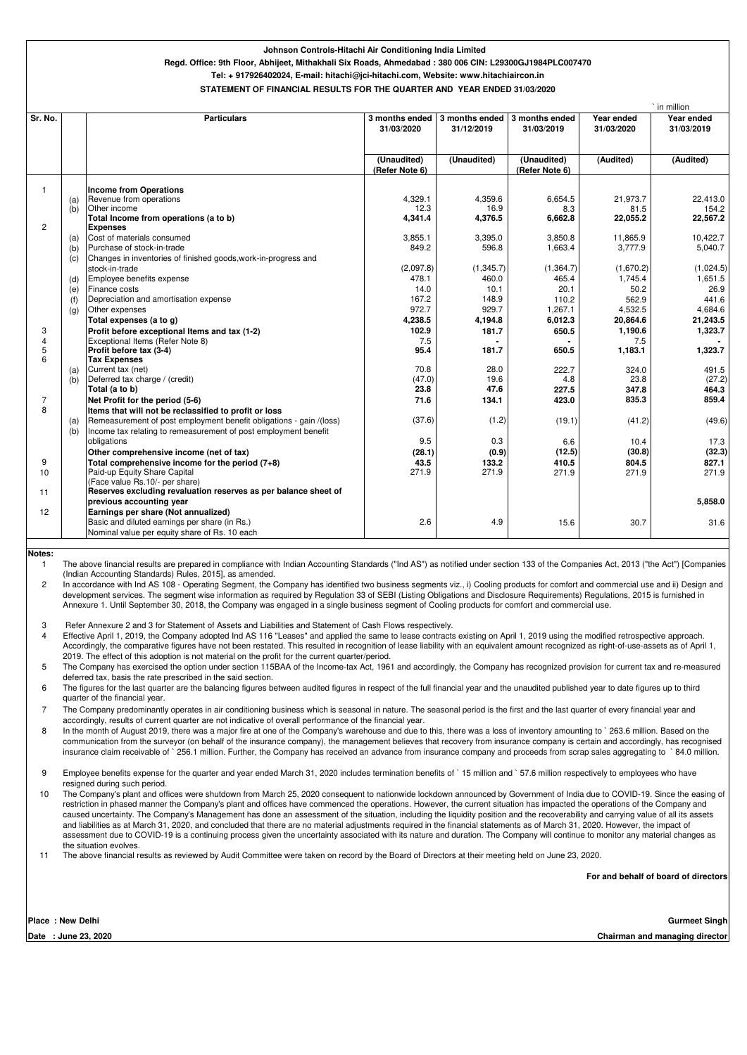|                              |     |                                                                                                   |                |                |                |                | ` in million |
|------------------------------|-----|---------------------------------------------------------------------------------------------------|----------------|----------------|----------------|----------------|--------------|
| Sr. No.                      |     | <b>Particulars</b>                                                                                | 3 months ended | 3 months ended | 3 months ended | Year ended     | Year ended   |
|                              |     |                                                                                                   | 31/03/2020     | 31/12/2019     | 31/03/2019     | 31/03/2020     | 31/03/2019   |
|                              |     |                                                                                                   |                |                |                |                |              |
|                              |     |                                                                                                   | (Unaudited)    | (Unaudited)    | (Unaudited)    | (Audited)      | (Audited)    |
|                              |     |                                                                                                   | (Refer Note 6) |                | (Refer Note 6) |                |              |
| $\mathbf{1}$                 |     | <b>Income from Operations</b>                                                                     |                |                |                |                |              |
|                              | (a) | Revenue from operations                                                                           | 4,329.1        | 4,359.6        | 6,654.5        | 21,973.7       | 22,413.0     |
|                              | (b) | Other income                                                                                      | 12.3           | 16.9           | 8.3            | 81.5           | 154.2        |
|                              |     | Total Income from operations (a to b)                                                             | 4,341.4        | 4,376.5        | 6,662.8        | 22,055.2       | 22,567.2     |
| $\overline{2}$               |     | <b>Expenses</b>                                                                                   |                |                |                |                |              |
|                              | (a) | Cost of materials consumed                                                                        | 3,855.1        | 3,395.0        | 3,850.8        | 11,865.9       | 10,422.7     |
|                              | (b) | Purchase of stock-in-trade                                                                        | 849.2          | 596.8          | 1,663.4        | 3,777.9        | 5,040.7      |
|                              | (c) | Changes in inventories of finished goods, work-in-progress and                                    |                |                |                |                |              |
|                              |     | stock-in-trade                                                                                    | (2,097.8)      | (1,345.7)      | (1,364.7)      | (1,670.2)      | (1,024.5)    |
|                              | (d) | Employee benefits expense                                                                         | 478.1          | 460.0          | 465.4          | 1,745.4        | 1,651.5      |
|                              | (e) | Finance costs                                                                                     | 14.0           | 10.1           | 20.1           | 50.2           | 26.9         |
|                              | (f) | Depreciation and amortisation expense                                                             | 167.2          | 148.9          | 110.2          | 562.9          | 441.6        |
|                              | (g) | Other expenses                                                                                    | 972.7          | 929.7          | 1,267.1        | 4,532.5        | 4,684.6      |
|                              |     | Total expenses (a to g)                                                                           | 4,238.5        | 4,194.8        | 6,012.3        | 20,864.6       | 21,243.5     |
| 3                            |     | Profit before exceptional Items and tax (1-2)                                                     | 102.9          | 181.7          | 650.5          | 1,190.6        | 1,323.7      |
| $\overline{4}$<br>$\sqrt{5}$ |     | Exceptional Items (Refer Note 8)<br>Profit before tax (3-4)                                       | 7.5<br>95.4    | 181.7          | 650.5          | 7.5<br>1,183.1 | 1,323.7      |
| 6                            |     | <b>Tax Expenses</b>                                                                               |                |                |                |                |              |
|                              | (a) | Current tax (net)                                                                                 | 70.8           | 28.0           | 222.7          | 324.0          | 491.5        |
|                              | (b) | Deferred tax charge / (credit)                                                                    | (47.0)         | 19.6           | 4.8            | 23.8           | (27.2)       |
|                              |     | Total (a to b)                                                                                    | 23.8           | 47.6           | 227.5          | 347.8          | 464.3        |
| 7                            |     | Net Profit for the period (5-6)                                                                   | 71.6           | 134.1          | 423.0          | 835.3          | 859.4        |
| 8                            |     | Items that will not be reclassified to profit or loss                                             |                |                |                |                |              |
|                              | (a) | Remeasurement of post employment benefit obligations - gain /(loss)                               | (37.6)         | (1.2)          | (19.1)         | (41.2)         | (49.6)       |
|                              | (b) | Income tax relating to remeasurement of post employment benefit                                   |                |                |                |                |              |
|                              |     | obligations                                                                                       | 9.5            | 0.3            | 6.6            | 10.4           | 17.3         |
|                              |     | Other comprehensive income (net of tax)                                                           | (28.1)         | (0.9)          | (12.5)         | (30.8)         | (32.3)       |
| 9                            |     | Total comprehensive income for the period (7+8)                                                   | 43.5           | 133.2          | 410.5          | 804.5          | 827.1        |
| 10                           |     | Paid-up Equity Share Capital                                                                      | 271.9          | 271.9          | 271.9          | 271.9          | 271.9        |
|                              |     | (Face value Rs.10/- per share)<br>Reserves excluding revaluation reserves as per balance sheet of |                |                |                |                |              |
| 11                           |     |                                                                                                   |                |                |                |                |              |
| 12                           |     | previous accounting year<br>Earnings per share (Not annualized)                                   |                |                |                |                | 5,858.0      |
|                              |     | Basic and diluted earnings per share (in Rs.)                                                     | 2.6            | 4.9            | 15.6           | 30.7           | 31.6         |
|                              |     | Nominal value per equity share of Rs. 10 each                                                     |                |                |                |                |              |
|                              |     |                                                                                                   |                |                |                |                |              |

8 In the month of August 2019, there was a major fire at one of the Company's warehouse and due to this, there was a loss of inventory amounting to ` 263.6 million. Based on the communication from the surveyor (on behalf of the insurance company), the management believes that recovery from insurance company is certain and accordingly, has recognised insurance claim receivable of `256.1 million. Further, the Company has received an advance from insurance company and proceeds from scrap sales aggregating to `84.0 million.

**For and behalf of board of directors**

**Place : New Delhi**

**Date : June 23, 2020**

1 The above financial results are prepared in compliance with Indian Accounting Standards ("Ind AS") as notified under section 133 of the Companies Act, 2013 ("the Act") [Companies (Indian Accounting Standards) Rules, 2015], as amended.

2 In accordance with Ind AS 108 - Operating Segment, the Company has identified two business segments viz., i) Cooling products for comfort and commercial use and ii) Design and development services. The segment wise information as required by Regulation 33 of SEBI (Listing Obligations and Disclosure Requirements) Regulations, 2015 is furnished in Annexure 1. Until September 30, 2018, the Company was engaged in a single business segment of Cooling products for comfort and commercial use.

4 Effective April 1, 2019, the Company adopted Ind AS 116 "Leases" and applied the same to lease contracts existing on April 1, 2019 using the modified retrospective approach. Accordingly, the comparative figures have not been restated. This resulted in recognition of lease liability with an equivalent amount recognized as right-of-use-assets as of April 1, 2019. The effect of this adoption is not material on the profit for the current quarter/period.

5 The Company has exercised the option under section 115BAA of the Income-tax Act, 1961 and accordingly, the Company has recognized provision for current tax and re-measured deferred tax, basis the rate prescribed in the said section.

7 The Company predominantly operates in air conditioning business which is seasonal in nature. The seasonal period is the first and the last quarter of every financial year and accordingly, results of current quarter are not indicative of overall performance of the financial year.

3 Refer Annexure 2 and 3 for Statement of Assets and Liabilities and Statement of Cash Flows respectively.

6 The figures for the last quarter are the balancing figures between audited figures in respect of the full financial year and the unaudited published year to date figures up to third quarter of the financial year.

10 The Company's plant and offices were shutdown from March 25, 2020 consequent to nationwide lockdown announced by Government of India due to COVID-19. Since the easing of

9 Employee benefits expense for the quarter and year ended March 31, 2020 includes termination benefits of ` 15 million and ` 57.6 million respectively to employees who have resigned during such period.

- restriction in phased manner the Company's plant and offices have commenced the operations. However, the current situation has impacted the operations of the Company and caused uncertainty. The Company's Management has done an assessment of the situation, including the liquidity position and the recoverability and carrying value of all its assets and liabilities as at March 31, 2020, and concluded that there are no material adjustments required in the financial statements as of March 31, 2020. However, the impact of assessment due to COVID-19 is a continuing process given the uncertainty associated with its nature and duration. The Company will continue to monitor any material changes as the situation evolves.
- 11 The above financial results as reviewed by Audit Committee were taken on record by the Board of Directors at their meeting held on June 23, 2020.

**Gurmeet Singh**

**Notes:**

#### **Johnson Controls-Hitachi Air Conditioning India Limited**

## **Regd. Office: 9th Floor, Abhijeet, Mithakhali Six Roads, Ahmedabad : 380 006 CIN: L29300GJ1984PLC007470**

**Tel: + 917926402024, E-mail: hitachi@jci-hitachi.com, Website: www.hitachiaircon.in**

### **STATEMENT OF FINANCIAL RESULTS FOR THE QUARTER AND YEAR ENDED 31/03/2020**

**Chairman and managing director**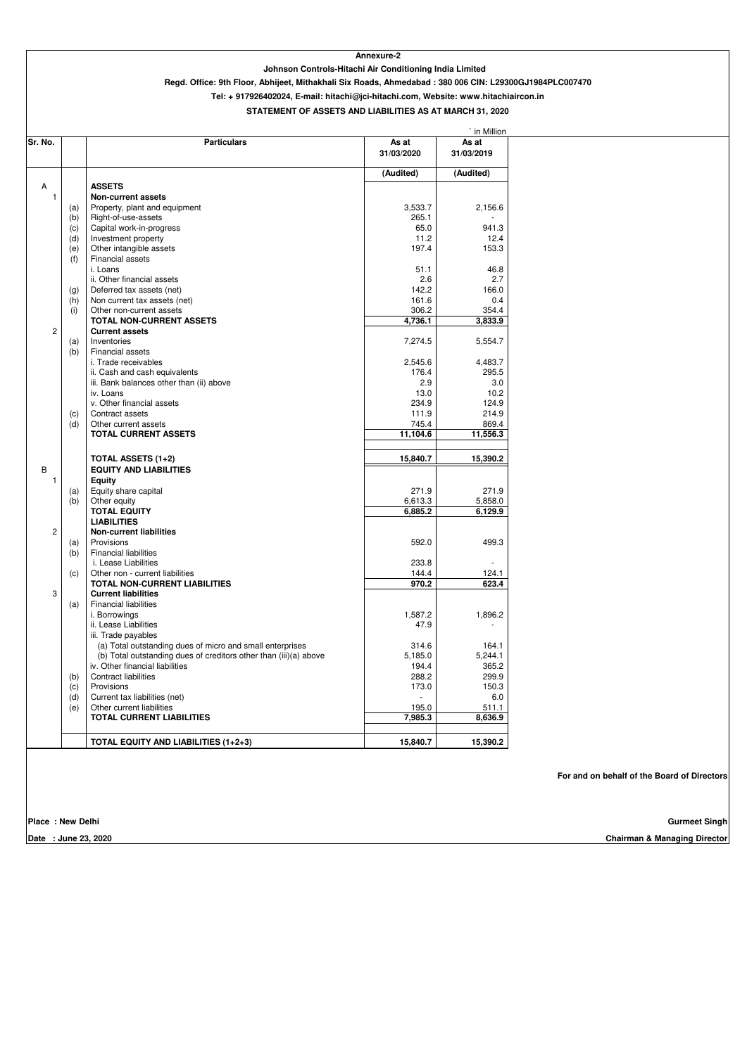|                |     |                                                                   |                     | ` in Million        |
|----------------|-----|-------------------------------------------------------------------|---------------------|---------------------|
| Sr. No.        |     | <b>Particulars</b>                                                | As at<br>31/03/2020 | As at<br>31/03/2019 |
|                |     |                                                                   | (Audited)           | (Audited)           |
| A              |     | <b>ASSETS</b>                                                     |                     |                     |
| $\overline{1}$ |     | <b>Non-current assets</b>                                         |                     |                     |
|                | (a) | Property, plant and equipment                                     | 3,533.7             | 2,156.6             |
|                | (b) | Right-of-use-assets                                               | 265.1               |                     |
|                | (c) | Capital work-in-progress                                          | 65.0                | 941.3               |
|                | (d) | Investment property                                               | 11.2                | 12.4                |
|                | (e) | Other intangible assets                                           | 197.4               | 153.3               |
|                | (f) | <b>Financial assets</b>                                           |                     |                     |
|                |     | i. Loans                                                          | 51.1                | 46.8                |
|                |     | ii. Other financial assets                                        | 2.6                 | 2.7                 |
|                | (g) | Deferred tax assets (net)                                         | 142.2               | 166.0               |
|                | (h) | Non current tax assets (net)                                      | 161.6               | 0.4                 |
|                | (i) | Other non-current assets                                          | 306.2               | 354.4               |
|                |     | TOTAL NON-CURRENT ASSETS                                          | 4,736.1             | 3,833.9             |
| $\overline{2}$ |     | <b>Current assets</b>                                             |                     |                     |
|                | (a) | Inventories                                                       | 7,274.5             | 5,554.7             |
|                | (b) | Financial assets                                                  |                     |                     |
|                |     | i. Trade receivables                                              | 2,545.6             | 4,483.7             |
|                |     | ii. Cash and cash equivalents                                     | 176.4               | 295.5               |
|                |     | iii. Bank balances other than (ii) above                          | 2.9                 | 3.0                 |
|                |     | iv. Loans                                                         | 13.0                | 10.2                |
|                |     | v. Other financial assets                                         | 234.9               | 124.9               |
|                | (c) | Contract assets                                                   | 111.9               | 214.9               |
|                | (d) | Other current assets                                              | 745.4               | 869.4               |
|                |     | <b>TOTAL CURRENT ASSETS</b>                                       | 11,104.6            | 11,556.3            |
|                |     |                                                                   |                     |                     |
|                |     | <b>TOTAL ASSETS (1+2)</b>                                         | 15,840.7            | 15,390.2            |
| B              |     | <b>EQUITY AND LIABILITIES</b>                                     |                     |                     |
|                |     | <b>Equity</b>                                                     |                     |                     |
|                | (a) | Equity share capital                                              | 271.9               | 271.9               |
|                | (b) | Other equity                                                      | 6,613.3             | 5,858.0             |
|                |     | <b>TOTAL EQUITY</b>                                               | 6,885.2             | 6,129.9             |
|                |     | <b>LIABILITIES</b>                                                |                     |                     |
| $2^{\circ}$    |     | <b>Non-current liabilities</b>                                    |                     |                     |
|                | (a) | Provisions                                                        | 592.0               | 499.3               |
|                | (b) | <b>Financial liabilities</b>                                      |                     |                     |
|                |     | i. Lease Liabilities                                              | 233.8               |                     |
|                | (c) | Other non - current liabilities                                   | 144.4               | 124.1               |
|                |     | <b>TOTAL NON-CURRENT LIABILITIES</b>                              | 970.2               | 623.4               |
| 3              |     | <b>Current liabilities</b>                                        |                     |                     |
|                | (a) | <b>Financial liabilities</b>                                      |                     |                     |
|                |     | i. Borrowings                                                     | 1,587.2             | 1,896.2             |
|                |     |                                                                   |                     |                     |
|                |     | ii. Lease Liabilities                                             | 47.9                |                     |
|                |     | iii. Trade payables                                               |                     |                     |
|                |     | (a) Total outstanding dues of micro and small enterprises         | 314.6               | 164.1               |
|                |     | (b) Total outstanding dues of creditors other than (iii)(a) above | 5,185.0             | 5,244.1             |
|                |     | iv. Other financial liabilities                                   | 194.4               | 365.2               |
|                | (b) | <b>Contract liabilities</b>                                       | 288.2               | 299.9               |
|                | (c) | Provisions                                                        | 173.0               | 150.3               |
|                | (d) | Current tax liabilities (net)                                     |                     | 6.0                 |
|                | (e) | Other current liabilities                                         | 195.0               | 511.1               |
|                |     | <b>TOTAL CURRENT LIABILITIES</b>                                  | 7,985.3             | 8,636.9             |
|                |     | <b>TOTAL EQUITY AND LIABILITIES (1+2+3)</b>                       | 15,840.7            | 15,390.2            |

**Tel: + 917926402024, E-mail: hitachi@jci-hitachi.com, Website: www.hitachiaircon.in**

# **Annexure-2**

| <b>Place : New Delhi</b> | Gurmeet Singh                           |
|--------------------------|-----------------------------------------|
| June 23, 2020<br>Date    | <b>Chairman &amp; Managing Director</b> |

# **STATEMENT OF ASSETS AND LIABILITIES AS AT MARCH 31, 2020**

**Johnson Controls-Hitachi Air Conditioning India Limited**

**Regd. Office: 9th Floor, Abhijeet, Mithakhali Six Roads, Ahmedabad : 380 006 CIN: L29300GJ1984PLC007470**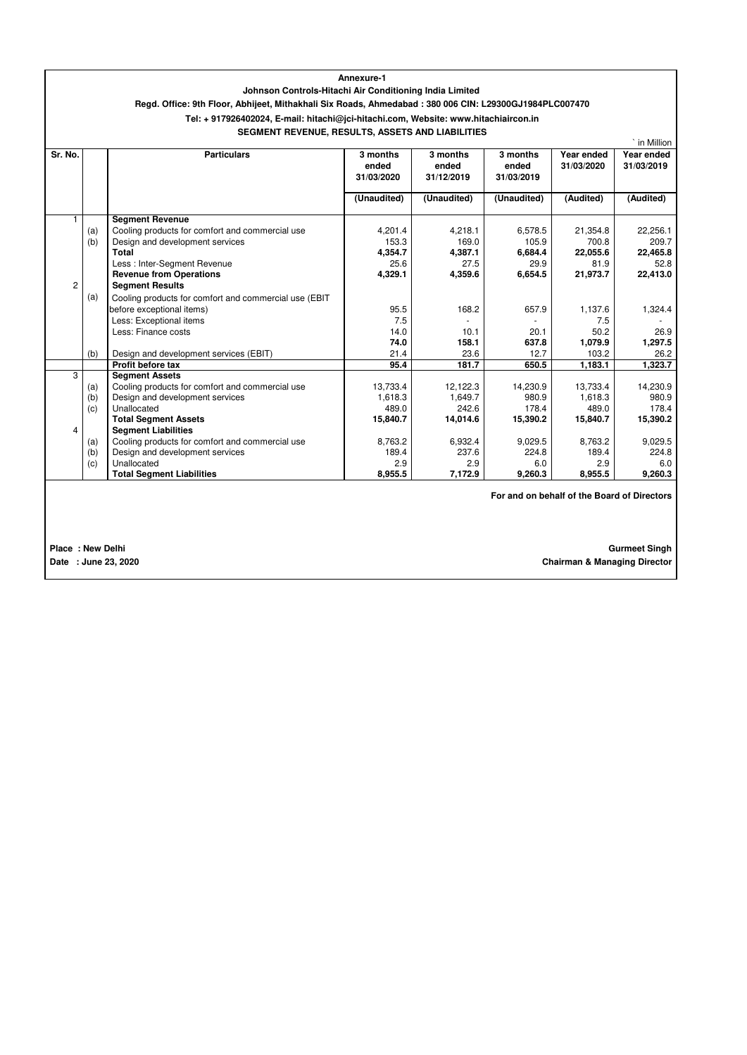|                                             |                                                         |                                                                                                        | Annexure-1                      |                                 |                                 |                          |                          |
|---------------------------------------------|---------------------------------------------------------|--------------------------------------------------------------------------------------------------------|---------------------------------|---------------------------------|---------------------------------|--------------------------|--------------------------|
|                                             | Johnson Controls-Hitachi Air Conditioning India Limited |                                                                                                        |                                 |                                 |                                 |                          |                          |
|                                             |                                                         | Regd. Office: 9th Floor, Abhijeet, Mithakhali Six Roads, Ahmedabad: 380 006 CIN: L29300GJ1984PLC007470 |                                 |                                 |                                 |                          |                          |
|                                             |                                                         | Tel: + 917926402024, E-mail: hitachi@jci-hitachi.com, Website: www.hitachiaircon.in                    |                                 |                                 |                                 |                          |                          |
|                                             |                                                         | SEGMENT REVENUE, RESULTS, ASSETS AND LIABILITIES                                                       |                                 |                                 |                                 |                          |                          |
|                                             |                                                         |                                                                                                        |                                 |                                 |                                 |                          | ` in Million             |
| Sr. No.                                     |                                                         | <b>Particulars</b>                                                                                     | 3 months<br>ended<br>31/03/2020 | 3 months<br>ended<br>31/12/2019 | 3 months<br>ended<br>31/03/2019 | Year ended<br>31/03/2020 | Year ended<br>31/03/2019 |
|                                             |                                                         |                                                                                                        | (Unaudited)                     | (Unaudited)                     | (Unaudited)                     | (Audited)                | (Audited)                |
| $\mathbf 1$                                 |                                                         | <b>Segment Revenue</b>                                                                                 |                                 |                                 |                                 |                          |                          |
|                                             | (a)                                                     | Cooling products for comfort and commercial use                                                        | 4,201.4                         | 4,218.1                         | 6,578.5                         | 21,354.8                 | 22,256.1                 |
|                                             | (b)                                                     | Design and development services                                                                        | 153.3                           | 169.0                           | 105.9                           | 700.8                    | 209.7                    |
|                                             |                                                         | <b>Total</b>                                                                                           | 4,354.7                         | 4,387.1                         | 6,684.4                         | 22,055.6                 | 22,465.8                 |
|                                             |                                                         | Less : Inter-Segment Revenue                                                                           | 25.6                            | 27.5                            | 29.9                            | 81.9                     | 52.8                     |
|                                             |                                                         | <b>Revenue from Operations</b>                                                                         | 4,329.1                         | 4,359.6                         | 6,654.5                         | 21,973.7                 | 22,413.0                 |
| $\overline{c}$                              |                                                         | <b>Segment Results</b>                                                                                 |                                 |                                 |                                 |                          |                          |
|                                             | (a)                                                     | Cooling products for comfort and commercial use (EBIT                                                  |                                 |                                 |                                 |                          |                          |
|                                             |                                                         | before exceptional items)                                                                              | 95.5                            | 168.2                           | 657.9                           | 1,137.6                  | 1,324.4                  |
|                                             |                                                         | Less: Exceptional items                                                                                | 7.5                             |                                 |                                 | 7.5                      |                          |
|                                             |                                                         | Less: Finance costs                                                                                    | 14.0                            | 10.1                            | 20.1                            | 50.2                     | 26.9                     |
|                                             |                                                         |                                                                                                        | 74.0                            | 158.1                           | 637.8                           | 1,079.9                  | 1,297.5                  |
|                                             | (b)                                                     | Design and development services (EBIT)                                                                 | 21.4                            | 23.6                            | 12.7                            | 103.2                    | 26.2                     |
|                                             |                                                         | Profit before tax                                                                                      | 95.4                            | 181.7                           | 650.5                           | 1,183.1                  | 1,323.7                  |
| 3                                           |                                                         | <b>Segment Assets</b>                                                                                  |                                 |                                 |                                 |                          |                          |
|                                             | (a)                                                     | Cooling products for comfort and commercial use                                                        | 13,733.4                        | 12,122.3                        | 14,230.9                        | 13,733.4                 | 14,230.9                 |
|                                             | (b)                                                     | Design and development services                                                                        | 1,618.3                         | 1,649.7                         | 980.9                           | 1,618.3                  | 980.9                    |
|                                             | (c)                                                     | Unallocated                                                                                            | 489.0                           | 242.6                           | 178.4                           | 489.0                    | 178.4                    |
| 4                                           |                                                         | <b>Total Segment Assets</b>                                                                            | 15,840.7                        | 14,014.6                        | 15,390.2                        | 15,840.7                 | 15,390.2                 |
|                                             |                                                         | <b>Segment Liabilities</b>                                                                             |                                 |                                 |                                 |                          |                          |
|                                             | (a)<br>(b)                                              | Cooling products for comfort and commercial use<br>Design and development services                     | 8,763.2<br>189.4                | 6,932.4<br>237.6                | 9,029.5<br>224.8                | 8,763.2<br>189.4         | 9,029.5<br>224.8         |
|                                             | (c)                                                     | Unallocated                                                                                            | 2.9                             | 2.9                             | 6.0                             | 2.9                      | 6.0                      |
|                                             |                                                         | <b>Total Segment Liabilities</b>                                                                       | 8,955.5                         | 7,172.9                         | 9,260.3                         | 8,955.5                  | 9,260.3                  |
|                                             |                                                         |                                                                                                        |                                 |                                 |                                 |                          |                          |
| For and on behalf of the Board of Directors |                                                         |                                                                                                        |                                 |                                 |                                 |                          |                          |

**Place : New Delhi Gurmeet Singh Date : June 23, 2020 Chairman & Managing Director**